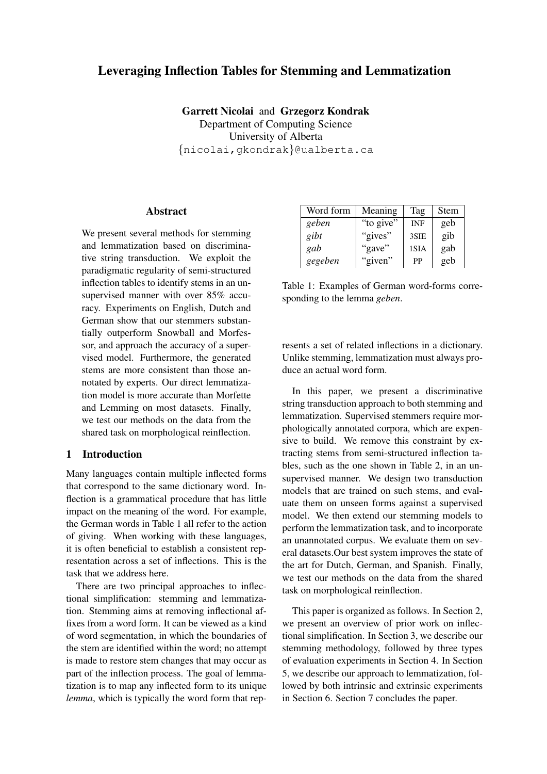# Leveraging Inflection Tables for Stemming and Lemmatization

Garrett Nicolai and Grzegorz Kondrak Department of Computing Science University of Alberta {nicolai,gkondrak}@ualberta.ca

## **Abstract**

We present several methods for stemming and lemmatization based on discriminative string transduction. We exploit the paradigmatic regularity of semi-structured inflection tables to identify stems in an unsupervised manner with over 85% accuracy. Experiments on English, Dutch and German show that our stemmers substantially outperform Snowball and Morfessor, and approach the accuracy of a supervised model. Furthermore, the generated stems are more consistent than those annotated by experts. Our direct lemmatization model is more accurate than Morfette and Lemming on most datasets. Finally, we test our methods on the data from the shared task on morphological reinflection.

### 1 Introduction

Many languages contain multiple inflected forms that correspond to the same dictionary word. Inflection is a grammatical procedure that has little impact on the meaning of the word. For example, the German words in Table 1 all refer to the action of giving. When working with these languages, it is often beneficial to establish a consistent representation across a set of inflections. This is the task that we address here.

There are two principal approaches to inflectional simplification: stemming and lemmatization. Stemming aims at removing inflectional affixes from a word form. It can be viewed as a kind of word segmentation, in which the boundaries of the stem are identified within the word; no attempt is made to restore stem changes that may occur as part of the inflection process. The goal of lemmatization is to map any inflected form to its unique *lemma*, which is typically the word form that rep-

| Word form | Meaning   | Tag        | Stem |
|-----------|-----------|------------|------|
| geben     | "to give" | <b>INF</b> | geb  |
| gibt      | "gives"   | 3SIE       | gib  |
| gab       | "gave"    | 1SIA       | gab  |
| gegeben   | "given"   | PP         | geb  |

Table 1: Examples of German word-forms corresponding to the lemma *geben*.

resents a set of related inflections in a dictionary. Unlike stemming, lemmatization must always produce an actual word form.

In this paper, we present a discriminative string transduction approach to both stemming and lemmatization. Supervised stemmers require morphologically annotated corpora, which are expensive to build. We remove this constraint by extracting stems from semi-structured inflection tables, such as the one shown in Table 2, in an unsupervised manner. We design two transduction models that are trained on such stems, and evaluate them on unseen forms against a supervised model. We then extend our stemming models to perform the lemmatization task, and to incorporate an unannotated corpus. We evaluate them on several datasets.Our best system improves the state of the art for Dutch, German, and Spanish. Finally, we test our methods on the data from the shared task on morphological reinflection.

This paper is organized as follows. In Section 2, we present an overview of prior work on inflectional simplification. In Section 3, we describe our stemming methodology, followed by three types of evaluation experiments in Section 4. In Section 5, we describe our approach to lemmatization, followed by both intrinsic and extrinsic experiments in Section 6. Section 7 concludes the paper.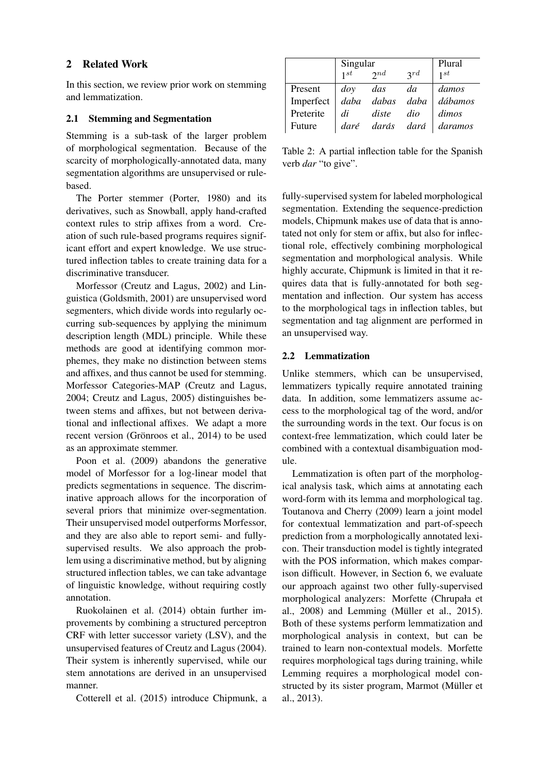# 2 Related Work

In this section, we review prior work on stemming and lemmatization.

## 2.1 Stemming and Segmentation

Stemming is a sub-task of the larger problem of morphological segmentation. Because of the scarcity of morphologically-annotated data, many segmentation algorithms are unsupervised or rulebased.

The Porter stemmer (Porter, 1980) and its derivatives, such as Snowball, apply hand-crafted context rules to strip affixes from a word. Creation of such rule-based programs requires significant effort and expert knowledge. We use structured inflection tables to create training data for a discriminative transducer.

Morfessor (Creutz and Lagus, 2002) and Linguistica (Goldsmith, 2001) are unsupervised word segmenters, which divide words into regularly occurring sub-sequences by applying the minimum description length (MDL) principle. While these methods are good at identifying common morphemes, they make no distinction between stems and affixes, and thus cannot be used for stemming. Morfessor Categories-MAP (Creutz and Lagus, 2004; Creutz and Lagus, 2005) distinguishes between stems and affixes, but not between derivational and inflectional affixes. We adapt a more recent version (Grönroos et al., 2014) to be used as an approximate stemmer.

Poon et al. (2009) abandons the generative model of Morfessor for a log-linear model that predicts segmentations in sequence. The discriminative approach allows for the incorporation of several priors that minimize over-segmentation. Their unsupervised model outperforms Morfessor, and they are also able to report semi- and fullysupervised results. We also approach the problem using a discriminative method, but by aligning structured inflection tables, we can take advantage of linguistic knowledge, without requiring costly annotation.

Ruokolainen et al. (2014) obtain further improvements by combining a structured perceptron CRF with letter successor variety (LSV), and the unsupervised features of Creutz and Lagus (2004). Their system is inherently supervised, while our stem annotations are derived in an unsupervised manner.

Cotterell et al. (2015) introduce Chipmunk, a

|                                       | Singular<br>$1^{st}$ 2nd | Plural     |                  |                         |
|---------------------------------------|--------------------------|------------|------------------|-------------------------|
|                                       |                          |            | 2rd              | 1st                     |
| Present                               | $\log$                   | das        | da               | damos                   |
| Imperfect   daba dabas daba   dábamos |                          |            |                  |                         |
| Preterite                             |                          | $di$ diste | $di\overline{o}$ | $\int$ dimos            |
| Future                                |                          |            |                  | daré darás dará daramos |

Table 2: A partial inflection table for the Spanish verb *dar* "to give".

fully-supervised system for labeled morphological segmentation. Extending the sequence-prediction models, Chipmunk makes use of data that is annotated not only for stem or affix, but also for inflectional role, effectively combining morphological segmentation and morphological analysis. While highly accurate, Chipmunk is limited in that it requires data that is fully-annotated for both segmentation and inflection. Our system has access to the morphological tags in inflection tables, but segmentation and tag alignment are performed in an unsupervised way.

# 2.2 Lemmatization

Unlike stemmers, which can be unsupervised, lemmatizers typically require annotated training data. In addition, some lemmatizers assume access to the morphological tag of the word, and/or the surrounding words in the text. Our focus is on context-free lemmatization, which could later be combined with a contextual disambiguation module.

Lemmatization is often part of the morphological analysis task, which aims at annotating each word-form with its lemma and morphological tag. Toutanova and Cherry (2009) learn a joint model for contextual lemmatization and part-of-speech prediction from a morphologically annotated lexicon. Their transduction model is tightly integrated with the POS information, which makes comparison difficult. However, in Section 6, we evaluate our approach against two other fully-supervised morphological analyzers: Morfette (Chrupała et al.,  $2008$  and Lemming (Müller et al.,  $2015$ ). Both of these systems perform lemmatization and morphological analysis in context, but can be trained to learn non-contextual models. Morfette requires morphological tags during training, while Lemming requires a morphological model constructed by its sister program, Marmot (Müller et al., 2013).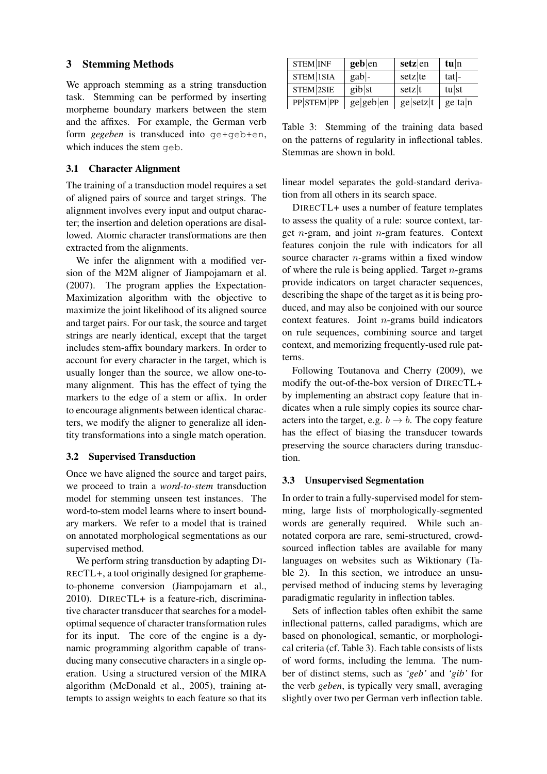# 3 Stemming Methods

We approach stemming as a string transduction task. Stemming can be performed by inserting morpheme boundary markers between the stem and the affixes. For example, the German verb form *gegeben* is transduced into ge+geb+en, which induces the stem geb.

#### 3.1 Character Alignment

The training of a transduction model requires a set of aligned pairs of source and target strings. The alignment involves every input and output character; the insertion and deletion operations are disallowed. Atomic character transformations are then extracted from the alignments.

We infer the alignment with a modified version of the M2M aligner of Jiampojamarn et al. (2007). The program applies the Expectation-Maximization algorithm with the objective to maximize the joint likelihood of its aligned source and target pairs. For our task, the source and target strings are nearly identical, except that the target includes stem-affix boundary markers. In order to account for every character in the target, which is usually longer than the source, we allow one-tomany alignment. This has the effect of tying the markers to the edge of a stem or affix. In order to encourage alignments between identical characters, we modify the aligner to generalize all identity transformations into a single match operation.

#### 3.2 Supervised Transduction

Once we have aligned the source and target pairs, we proceed to train a *word-to-stem* transduction model for stemming unseen test instances. The word-to-stem model learns where to insert boundary markers. We refer to a model that is trained on annotated morphological segmentations as our supervised method.

We perform string transduction by adapting DI-RECTL+, a tool originally designed for graphemeto-phoneme conversion (Jiampojamarn et al., 2010). DIRECTL+ is a feature-rich, discriminative character transducer that searches for a modeloptimal sequence of character transformation rules for its input. The core of the engine is a dynamic programming algorithm capable of transducing many consecutive characters in a single operation. Using a structured version of the MIRA algorithm (McDonald et al., 2005), training attempts to assign weights to each feature so that its

| <b>STEM INF</b> | $geb$  en | $setz$  en | $t\mathbf{u}$  n |
|-----------------|-----------|------------|------------------|
| STEM 1SIA       | $gab$ -   | setz te    | $ t$ at -        |
| STEM 2SIE       | gib st    | setz t     | $t$ u st         |
| PP STEM PP      | ge geb en | ge setz t  | ge ta n          |

Table 3: Stemming of the training data based on the patterns of regularity in inflectional tables. Stemmas are shown in bold.

linear model separates the gold-standard derivation from all others in its search space.

DIRECTL+ uses a number of feature templates to assess the quality of a rule: source context, target  $n$ -gram, and joint  $n$ -gram features. Context features conjoin the rule with indicators for all source character  $n$ -grams within a fixed window of where the rule is being applied. Target  $n$ -grams provide indicators on target character sequences, describing the shape of the target as it is being produced, and may also be conjoined with our source context features. Joint n-grams build indicators on rule sequences, combining source and target context, and memorizing frequently-used rule patterns.

Following Toutanova and Cherry (2009), we modify the out-of-the-box version of DIRECTL+ by implementing an abstract copy feature that indicates when a rule simply copies its source characters into the target, e.g.  $b \rightarrow b$ . The copy feature has the effect of biasing the transducer towards preserving the source characters during transduction.

#### 3.3 Unsupervised Segmentation

In order to train a fully-supervised model for stemming, large lists of morphologically-segmented words are generally required. While such annotated corpora are rare, semi-structured, crowdsourced inflection tables are available for many languages on websites such as Wiktionary (Table 2). In this section, we introduce an unsupervised method of inducing stems by leveraging paradigmatic regularity in inflection tables.

Sets of inflection tables often exhibit the same inflectional patterns, called paradigms, which are based on phonological, semantic, or morphological criteria (cf. Table 3). Each table consists of lists of word forms, including the lemma. The number of distinct stems, such as *'geb'* and *'gib'* for the verb *geben*, is typically very small, averaging slightly over two per German verb inflection table.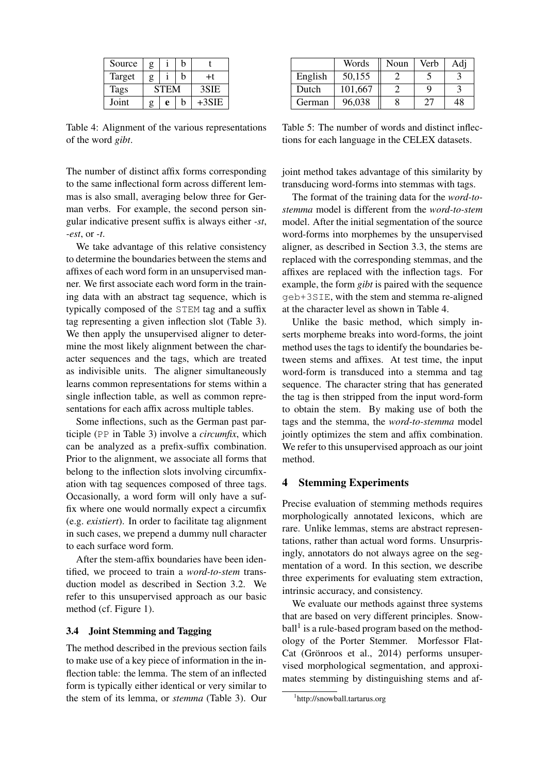| Source | g |             | h |         |
|--------|---|-------------|---|---------|
| Target | g |             | h | +t      |
| Tags   |   | <b>STEM</b> |   | 3SIE    |
| Joint  | g | e           | h | $+3SIE$ |

Table 4: Alignment of the various representations of the word *gibt*.

The number of distinct affix forms corresponding to the same inflectional form across different lemmas is also small, averaging below three for German verbs. For example, the second person singular indicative present suffix is always either *-st*, *-est*, or *-t*.

We take advantage of this relative consistency to determine the boundaries between the stems and affixes of each word form in an unsupervised manner. We first associate each word form in the training data with an abstract tag sequence, which is typically composed of the STEM tag and a suffix tag representing a given inflection slot (Table 3). We then apply the unsupervised aligner to determine the most likely alignment between the character sequences and the tags, which are treated as indivisible units. The aligner simultaneously learns common representations for stems within a single inflection table, as well as common representations for each affix across multiple tables.

Some inflections, such as the German past participle (PP in Table 3) involve a *circumfix*, which can be analyzed as a prefix-suffix combination. Prior to the alignment, we associate all forms that belong to the inflection slots involving circumfixation with tag sequences composed of three tags. Occasionally, a word form will only have a suffix where one would normally expect a circumfix (e.g. *existiert*). In order to facilitate tag alignment in such cases, we prepend a dummy null character to each surface word form.

After the stem-affix boundaries have been identified, we proceed to train a *word-to-stem* transduction model as described in Section 3.2. We refer to this unsupervised approach as our basic method (cf. Figure 1).

### 3.4 Joint Stemming and Tagging

The method described in the previous section fails to make use of a key piece of information in the inflection table: the lemma. The stem of an inflected form is typically either identical or very similar to the stem of its lemma, or *stemma* (Table 3). Our

|         | Words   | Noun | Verb | Adj |
|---------|---------|------|------|-----|
| English | 50,155  |      |      |     |
| Dutch   | 101,667 |      |      |     |
| German  | 96,038  |      | 27   | 48  |

Table 5: The number of words and distinct inflections for each language in the CELEX datasets.

joint method takes advantage of this similarity by transducing word-forms into stemmas with tags.

The format of the training data for the *word-tostemma* model is different from the *word-to-stem* model. After the initial segmentation of the source word-forms into morphemes by the unsupervised aligner, as described in Section 3.3, the stems are replaced with the corresponding stemmas, and the affixes are replaced with the inflection tags. For example, the form *gibt* is paired with the sequence geb+3SIE, with the stem and stemma re-aligned at the character level as shown in Table 4.

Unlike the basic method, which simply inserts morpheme breaks into word-forms, the joint method uses the tags to identify the boundaries between stems and affixes. At test time, the input word-form is transduced into a stemma and tag sequence. The character string that has generated the tag is then stripped from the input word-form to obtain the stem. By making use of both the tags and the stemma, the *word-to-stemma* model jointly optimizes the stem and affix combination. We refer to this unsupervised approach as our joint method.

#### 4 Stemming Experiments

Precise evaluation of stemming methods requires morphologically annotated lexicons, which are rare. Unlike lemmas, stems are abstract representations, rather than actual word forms. Unsurprisingly, annotators do not always agree on the segmentation of a word. In this section, we describe three experiments for evaluating stem extraction, intrinsic accuracy, and consistency.

We evaluate our methods against three systems that are based on very different principles. Snowball<sup>1</sup> is a rule-based program based on the methodology of the Porter Stemmer. Morfessor Flat-Cat (Grönroos et al., 2014) performs unsupervised morphological segmentation, and approximates stemming by distinguishing stems and af-

<sup>1</sup> http://snowball.tartarus.org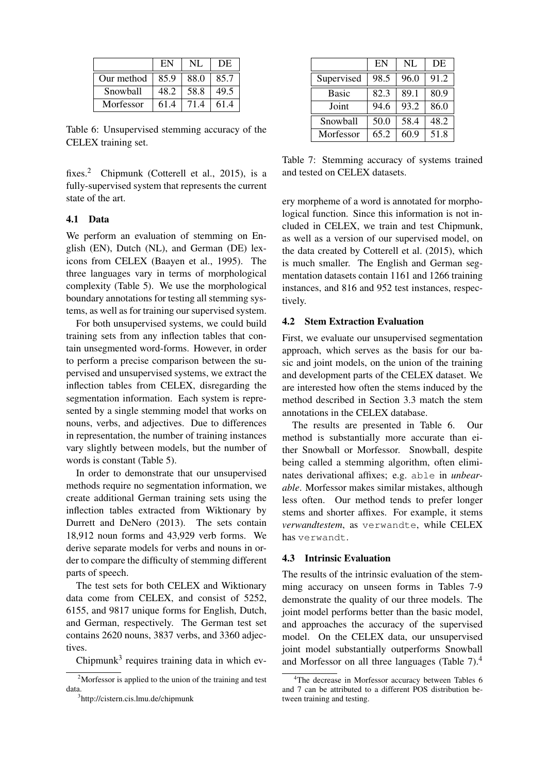|            | EN   | NL   | DE   |
|------------|------|------|------|
| Our method | 85.9 | 88.0 | 85.7 |
| Snowball   | 48.2 | 58.8 | 49.5 |
| Morfessor  | 61.4 | 71.4 | 61.4 |

Table 6: Unsupervised stemming accuracy of the CELEX training set.

fixes.<sup>2</sup> Chipmunk (Cotterell et al., 2015), is a fully-supervised system that represents the current state of the art.

### 4.1 Data

We perform an evaluation of stemming on English (EN), Dutch (NL), and German (DE) lexicons from CELEX (Baayen et al., 1995). The three languages vary in terms of morphological complexity (Table 5). We use the morphological boundary annotations for testing all stemming systems, as well as for training our supervised system.

For both unsupervised systems, we could build training sets from any inflection tables that contain unsegmented word-forms. However, in order to perform a precise comparison between the supervised and unsupervised systems, we extract the inflection tables from CELEX, disregarding the segmentation information. Each system is represented by a single stemming model that works on nouns, verbs, and adjectives. Due to differences in representation, the number of training instances vary slightly between models, but the number of words is constant (Table 5).

In order to demonstrate that our unsupervised methods require no segmentation information, we create additional German training sets using the inflection tables extracted from Wiktionary by Durrett and DeNero (2013). The sets contain 18,912 noun forms and 43,929 verb forms. We derive separate models for verbs and nouns in order to compare the difficulty of stemming different parts of speech.

The test sets for both CELEX and Wiktionary data come from CELEX, and consist of 5252, 6155, and 9817 unique forms for English, Dutch, and German, respectively. The German test set contains 2620 nouns, 3837 verbs, and 3360 adjectives.

Chipmunk $3$  requires training data in which ev-

|              | EN   | NL   | DE   |
|--------------|------|------|------|
| Supervised   | 98.5 | 96.0 | 91.2 |
| <b>Basic</b> | 82.3 | 89.1 | 80.9 |
| Joint        | 94.6 | 93.2 | 86.0 |
| Snowball     | 50.0 | 58.4 | 48.2 |
| Morfessor    | 65.2 | 60.9 | 51.8 |

Table 7: Stemming accuracy of systems trained and tested on CELEX datasets.

ery morpheme of a word is annotated for morphological function. Since this information is not included in CELEX, we train and test Chipmunk, as well as a version of our supervised model, on the data created by Cotterell et al. (2015), which is much smaller. The English and German segmentation datasets contain 1161 and 1266 training instances, and 816 and 952 test instances, respectively.

#### 4.2 Stem Extraction Evaluation

First, we evaluate our unsupervised segmentation approach, which serves as the basis for our basic and joint models, on the union of the training and development parts of the CELEX dataset. We are interested how often the stems induced by the method described in Section 3.3 match the stem annotations in the CELEX database.

The results are presented in Table 6. Our method is substantially more accurate than either Snowball or Morfessor. Snowball, despite being called a stemming algorithm, often eliminates derivational affixes; e.g. able in *unbearable*. Morfessor makes similar mistakes, although less often. Our method tends to prefer longer stems and shorter affixes. For example, it stems *verwandtestem*, as verwandte, while CELEX has verwandt.

# 4.3 Intrinsic Evaluation

The results of the intrinsic evaluation of the stemming accuracy on unseen forms in Tables 7-9 demonstrate the quality of our three models. The joint model performs better than the basic model, and approaches the accuracy of the supervised model. On the CELEX data, our unsupervised joint model substantially outperforms Snowball and Morfessor on all three languages (Table 7).<sup>4</sup>

<sup>&</sup>lt;sup>2</sup>Morfessor is applied to the union of the training and test data.

<sup>3</sup> http://cistern.cis.lmu.de/chipmunk

<sup>&</sup>lt;sup>4</sup>The decrease in Morfessor accuracy between Tables 6 and 7 can be attributed to a different POS distribution between training and testing.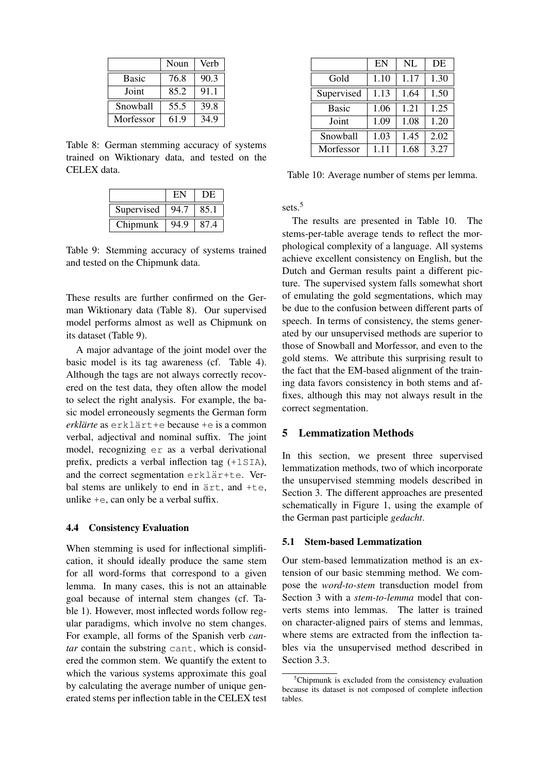|              | Noun | Verb |
|--------------|------|------|
| <b>Basic</b> | 76.8 | 90.3 |
| Joint        | 85.2 | 91.1 |
| Snowball     | 55.5 | 39.8 |
| Morfessor    | 61.9 | 349  |

Table 8: German stemming accuracy of systems trained on Wiktionary data, and tested on the CELEX data.

|            | EI           | DE   |
|------------|--------------|------|
| Supervised | 94.7         | 85.  |
| Chipmunk   | $0\Lambda$ 0 | 87 4 |

Table 9: Stemming accuracy of systems trained and tested on the Chipmunk data.

These results are further confirmed on the German Wiktionary data (Table 8). Our supervised model performs almost as well as Chipmunk on its dataset (Table 9).

A major advantage of the joint model over the basic model is its tag awareness (cf. Table 4). Although the tags are not always correctly recovered on the test data, they often allow the model to select the right analysis. For example, the basic model erroneously segments the German form *erklärte* as erklärt+e because +e is a common verbal, adjectival and nominal suffix. The joint model, recognizing er as a verbal derivational prefix, predicts a verbal inflection tag (+1SIA), and the correct segmentation erklär+te. Verbal stems are unlikely to end in  $arct$ , and +te, unlike +e, can only be a verbal suffix.

#### 4.4 Consistency Evaluation

When stemming is used for inflectional simplification, it should ideally produce the same stem for all word-forms that correspond to a given lemma. In many cases, this is not an attainable goal because of internal stem changes (cf. Table 1). However, most inflected words follow regular paradigms, which involve no stem changes. For example, all forms of the Spanish verb *can*tar contain the substring cant, which is considered the common stem. We quantify the extent to which the various systems approximate this goal by calculating the average number of unique generated stems per inflection table in the CELEX test

|              | EN   | NL   | DE   |
|--------------|------|------|------|
| Gold         | 1.10 | 1.17 | 1.30 |
| Supervised   | 1.13 | 1.64 | 1.50 |
| <b>Basic</b> | 1.06 | 1.21 | 1.25 |
| Joint        | 1.09 | 1.08 | 1.20 |
| Snowball     | 1.03 | 1.45 | 2.02 |
| Morfessor    | 1.11 | 1.68 | 3.27 |

Table 10: Average number of stems per lemma.

sets.<sup>5</sup>

The results are presented in Table 10. The stems-per-table average tends to reflect the morphological complexity of a language. All systems achieve excellent consistency on English, but the Dutch and German results paint a different picture. The supervised system falls somewhat short of emulating the gold segmentations, which may be due to the confusion between different parts of speech. In terms of consistency, the stems generated by our unsupervised methods are superior to those of Snowball and Morfessor, and even to the gold stems. We attribute this surprising result to the fact that the EM-based alignment of the training data favors consistency in both stems and affixes, although this may not always result in the correct segmentation.

#### 5 Lemmatization Methods

In this section, we present three supervised lemmatization methods, two of which incorporate the unsupervised stemming models described in Section 3. The different approaches are presented schematically in Figure 1, using the example of the German past participle *gedacht*.

### 5.1 Stem-based Lemmatization

Our stem-based lemmatization method is an extension of our basic stemming method. We compose the *word-to-stem* transduction model from Section 3 with a *stem-to-lemma* model that converts stems into lemmas. The latter is trained on character-aligned pairs of stems and lemmas, where stems are extracted from the inflection tables via the unsupervised method described in Section 3.3.

<sup>5</sup>Chipmunk is excluded from the consistency evaluation because its dataset is not composed of complete inflection tables.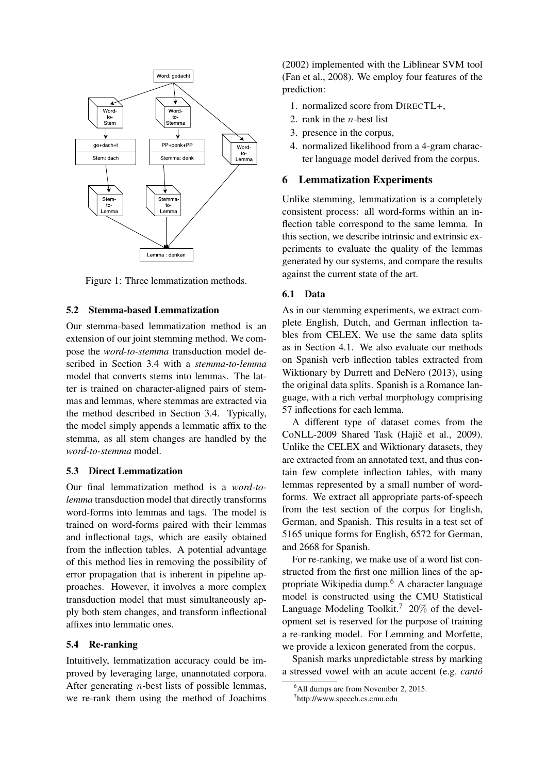

Figure 1: Three lemmatization methods.

#### 5.2 Stemma-based Lemmatization

Our stemma-based lemmatization method is an extension of our joint stemming method. We compose the *word-to-stemma* transduction model described in Section 3.4 with a *stemma-to-lemma* model that converts stems into lemmas. The latter is trained on character-aligned pairs of stemmas and lemmas, where stemmas are extracted via the method described in Section 3.4. Typically, the model simply appends a lemmatic affix to the stemma, as all stem changes are handled by the *word-to-stemma* model.

#### 5.3 Direct Lemmatization

Our final lemmatization method is a *word-tolemma* transduction model that directly transforms word-forms into lemmas and tags. The model is trained on word-forms paired with their lemmas and inflectional tags, which are easily obtained from the inflection tables. A potential advantage of this method lies in removing the possibility of error propagation that is inherent in pipeline approaches. However, it involves a more complex transduction model that must simultaneously apply both stem changes, and transform inflectional affixes into lemmatic ones.

#### 5.4 Re-ranking

Intuitively, lemmatization accuracy could be improved by leveraging large, unannotated corpora. After generating *n*-best lists of possible lemmas, we re-rank them using the method of Joachims (2002) implemented with the Liblinear SVM tool (Fan et al., 2008). We employ four features of the prediction:

- 1. normalized score from DIRECTL+,
- 2. rank in the  $n$ -best list
- 3. presence in the corpus,
- 4. normalized likelihood from a 4-gram character language model derived from the corpus.

#### 6 Lemmatization Experiments

Unlike stemming, lemmatization is a completely consistent process: all word-forms within an inflection table correspond to the same lemma. In this section, we describe intrinsic and extrinsic experiments to evaluate the quality of the lemmas generated by our systems, and compare the results against the current state of the art.

#### 6.1 Data

As in our stemming experiments, we extract complete English, Dutch, and German inflection tables from CELEX. We use the same data splits as in Section 4.1. We also evaluate our methods on Spanish verb inflection tables extracted from Wiktionary by Durrett and DeNero (2013), using the original data splits. Spanish is a Romance language, with a rich verbal morphology comprising 57 inflections for each lemma.

A different type of dataset comes from the CoNLL-2009 Shared Task (Hajič et al., 2009). Unlike the CELEX and Wiktionary datasets, they are extracted from an annotated text, and thus contain few complete inflection tables, with many lemmas represented by a small number of wordforms. We extract all appropriate parts-of-speech from the test section of the corpus for English, German, and Spanish. This results in a test set of 5165 unique forms for English, 6572 for German, and 2668 for Spanish.

For re-ranking, we make use of a word list constructed from the first one million lines of the appropriate Wikipedia dump.<sup>6</sup> A character language model is constructed using the CMU Statistical Language Modeling Toolkit.<sup>7</sup> 20% of the development set is reserved for the purpose of training a re-ranking model. For Lemming and Morfette, we provide a lexicon generated from the corpus.

Spanish marks unpredictable stress by marking a stressed vowel with an acute accent (e.g. *canto´*

<sup>&</sup>lt;sup>6</sup>All dumps are from November 2, 2015.

<sup>7</sup> http://www.speech.cs.cmu.edu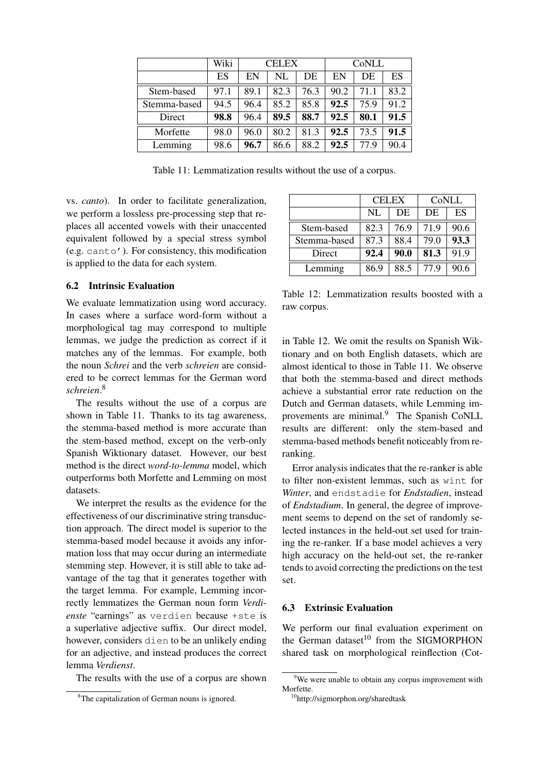|              | Wiki | <b>CELEX</b> |      |      | CoNLL |      |      |
|--------------|------|--------------|------|------|-------|------|------|
|              | ES   | EN           | NL   | DE   | EN    | DE   | ES   |
| Stem-based   | 97.1 | 89.1         | 82.3 | 76.3 | 90.2  | 71.1 | 83.2 |
| Stemma-based | 94.5 | 96.4         | 85.2 | 85.8 | 92.5  | 75.9 | 91.2 |
| Direct       | 98.8 | 96.4         | 89.5 | 88.7 | 92.5  | 80.1 | 91.5 |
| Morfette     | 98.0 | 96.0         | 80.2 | 81.3 | 92.5  | 73.5 | 91.5 |
| Lemming      | 98.6 | 96.7         | 86.6 | 88.2 | 92.5  | 77.9 | 90.4 |

Table 11: Lemmatization results without the use of a corpus.

vs. *canto*). In order to facilitate generalization, we perform a lossless pre-processing step that replaces all accented vowels with their unaccented equivalent followed by a special stress symbol (e.g. canto'). For consistency, this modification is applied to the data for each system.

### 6.2 Intrinsic Evaluation

We evaluate lemmatization using word accuracy. In cases where a surface word-form without a morphological tag may correspond to multiple lemmas, we judge the prediction as correct if it matches any of the lemmas. For example, both the noun *Schrei* and the verb *schreien* are considered to be correct lemmas for the German word *schreien*. 8

The results without the use of a corpus are shown in Table 11. Thanks to its tag awareness, the stemma-based method is more accurate than the stem-based method, except on the verb-only Spanish Wiktionary dataset. However, our best method is the direct *word-to-lemma* model, which outperforms both Morfette and Lemming on most datasets.

We interpret the results as the evidence for the effectiveness of our discriminative string transduction approach. The direct model is superior to the stemma-based model because it avoids any information loss that may occur during an intermediate stemming step. However, it is still able to take advantage of the tag that it generates together with the target lemma. For example, Lemming incorrectly lemmatizes the German noun form *Verdienste* "earnings" as verdien because +ste is a superlative adjective suffix. Our direct model, however, considers dien to be an unlikely ending for an adjective, and instead produces the correct lemma *Verdienst*.

The results with the use of a corpus are shown

|              | <b>CELEX</b> |      | CoNLL |      |
|--------------|--------------|------|-------|------|
|              | <b>NL</b>    | DE   | DE    | ES   |
| Stem-based   | 82.3         | 76.9 | 71.9  | 90.6 |
| Stemma-based | 87.3         | 88.4 | 79.0  | 93.3 |
| Direct       | 92.4         | 90.0 | 81.3  | 91.9 |
| Lemming      | 86.9         | 88.5 | 77.9  | 90.6 |

Table 12: Lemmatization results boosted with a raw corpus.

in Table 12. We omit the results on Spanish Wiktionary and on both English datasets, which are almost identical to those in Table 11. We observe that both the stemma-based and direct methods achieve a substantial error rate reduction on the Dutch and German datasets, while Lemming improvements are minimal.<sup>9</sup> The Spanish CoNLL results are different: only the stem-based and stemma-based methods benefit noticeably from reranking.

Error analysis indicates that the re-ranker is able to filter non-existent lemmas, such as wint for *Winter*, and endstadie for *Endstadien*, instead of *Endstadium*. In general, the degree of improvement seems to depend on the set of randomly selected instances in the held-out set used for training the re-ranker. If a base model achieves a very high accuracy on the held-out set, the re-ranker tends to avoid correcting the predictions on the test set.

# 6.3 Extrinsic Evaluation

We perform our final evaluation experiment on the German dataset $10$  from the SIGMORPHON shared task on morphological reinflection (Cot-

<sup>8</sup>The capitalization of German nouns is ignored.

<sup>&</sup>lt;sup>9</sup>We were unable to obtain any corpus improvement with Morfette.

<sup>10</sup>http://sigmorphon.org/sharedtask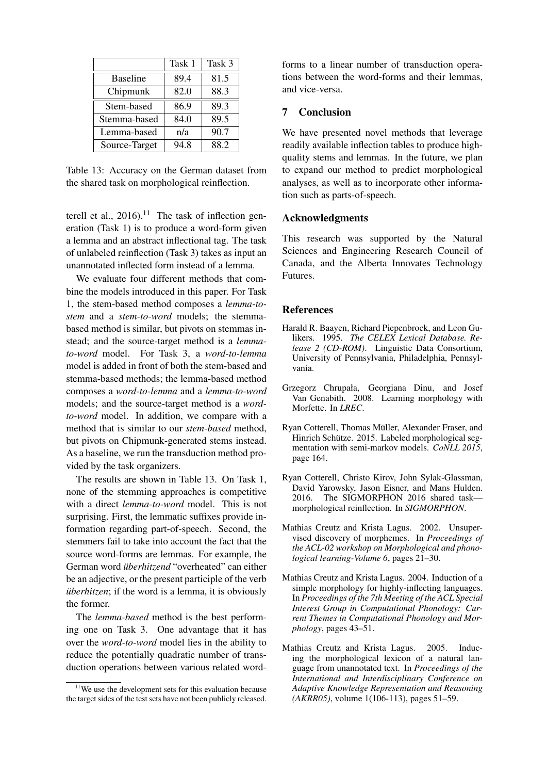|                 | Task 1 | Task 3 |
|-----------------|--------|--------|
| <b>Baseline</b> | 89.4   | 81.5   |
| Chipmunk        | 82.0   | 88.3   |
| Stem-based      | 86.9   | 89.3   |
| Stemma-based    | 84.0   | 89.5   |
| Lemma-based     | n/a    | 90.7   |
| Source-Target   | 94.8   | 88.2   |

Table 13: Accuracy on the German dataset from the shared task on morphological reinflection.

terell et al.,  $2016$ .<sup>11</sup> The task of inflection generation (Task 1) is to produce a word-form given a lemma and an abstract inflectional tag. The task of unlabeled reinflection (Task 3) takes as input an unannotated inflected form instead of a lemma.

We evaluate four different methods that combine the models introduced in this paper. For Task 1, the stem-based method composes a *lemma-tostem* and a *stem-to-word* models; the stemmabased method is similar, but pivots on stemmas instead; and the source-target method is a *lemmato-word* model. For Task 3, a *word-to-lemma* model is added in front of both the stem-based and stemma-based methods; the lemma-based method composes a *word-to-lemma* and a *lemma-to-word* models; and the source-target method is a *wordto-word* model. In addition, we compare with a method that is similar to our *stem-based* method, but pivots on Chipmunk-generated stems instead. As a baseline, we run the transduction method provided by the task organizers.

The results are shown in Table 13. On Task 1, none of the stemming approaches is competitive with a direct *lemma-to-word* model. This is not surprising. First, the lemmatic suffixes provide information regarding part-of-speech. Second, the stemmers fail to take into account the fact that the source word-forms are lemmas. For example, the German word *überhitzend* "overheated" can either be an adjective, or the present participle of the verb *überhitzen*; if the word is a lemma, it is obviously the former.

The *lemma-based* method is the best performing one on Task 3. One advantage that it has over the *word-to-word* model lies in the ability to reduce the potentially quadratic number of transduction operations between various related word-

forms to a linear number of transduction operations between the word-forms and their lemmas, and vice-versa.

# 7 Conclusion

We have presented novel methods that leverage readily available inflection tables to produce highquality stems and lemmas. In the future, we plan to expand our method to predict morphological analyses, as well as to incorporate other information such as parts-of-speech.

# Acknowledgments

This research was supported by the Natural Sciences and Engineering Research Council of Canada, and the Alberta Innovates Technology Futures.

## **References**

- Harald R. Baayen, Richard Piepenbrock, and Leon Gulikers. 1995. *The CELEX Lexical Database. Release 2 (CD-ROM)*. Linguistic Data Consortium, University of Pennsylvania, Philadelphia, Pennsylvania.
- Grzegorz Chrupała, Georgiana Dinu, and Josef Van Genabith. 2008. Learning morphology with Morfette. In *LREC*.
- Ryan Cotterell, Thomas Müller, Alexander Fraser, and Hinrich Schütze. 2015. Labeled morphological segmentation with semi-markov models. *CoNLL 2015*, page 164.
- Ryan Cotterell, Christo Kirov, John Sylak-Glassman, David Yarowsky, Jason Eisner, and Mans Hulden. 2016. The SIGMORPHON 2016 shared task morphological reinflection. In *SIGMORPHON*.
- Mathias Creutz and Krista Lagus. 2002. Unsupervised discovery of morphemes. In *Proceedings of the ACL-02 workshop on Morphological and phonological learning-Volume 6*, pages 21–30.
- Mathias Creutz and Krista Lagus. 2004. Induction of a simple morphology for highly-inflecting languages. In *Proceedings of the 7th Meeting of the ACL Special Interest Group in Computational Phonology: Current Themes in Computational Phonology and Morphology*, pages 43–51.
- Mathias Creutz and Krista Lagus. 2005. Inducing the morphological lexicon of a natural language from unannotated text. In *Proceedings of the International and Interdisciplinary Conference on Adaptive Knowledge Representation and Reasoning (AKRR05)*, volume 1(106-113), pages 51–59.

 $11$ We use the development sets for this evaluation because the target sides of the test sets have not been publicly released.